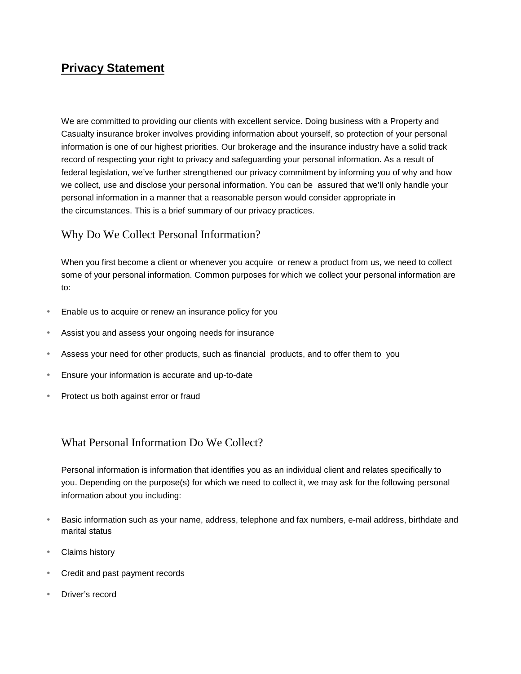# **Privacy Statement**

We are committed to providing our clients with excellent service. Doing business with a Property and Casualty insurance broker involves providing information about yourself, so protection of your personal information is one of our highest priorities. Our brokerage and the insurance industry have a solid track record of respecting your right to privacy and safeguarding your personal information. As a result of federal legislation, we've further strengthened our privacy commitment by informing you of why and how we collect, use and disclose your personal information. You can be assured that we'll only handle your personal information in a manner that a reasonable person would consider appropriate in the circumstances. This is a brief summary of our privacy practices.

## Why Do We Collect Personal Information?

When you first become a client or whenever you acquire or renew a product from us, we need to collect some of your personal information. Common purposes for which we collect your personal information are to:

- Enable us to acquire or renew an insurance policy for you
- Assist you and assess your ongoing needs for insurance
- Assess your need for other products, such as financial products, and to offer them to you
- Ensure your information is accurate and up-to-date
- Protect us both against error or fraud

## What Personal Information Do We Collect?

Personal information is information that identifies you as an individual client and relates specifically to you. Depending on the purpose(s) for which we need to collect it, we may ask for the following personal information about you including:

- Basic information such as your name, address, telephone and fax numbers, e-mail address, birthdate and marital status
- Claims history
- Credit and past payment records
- Driver's record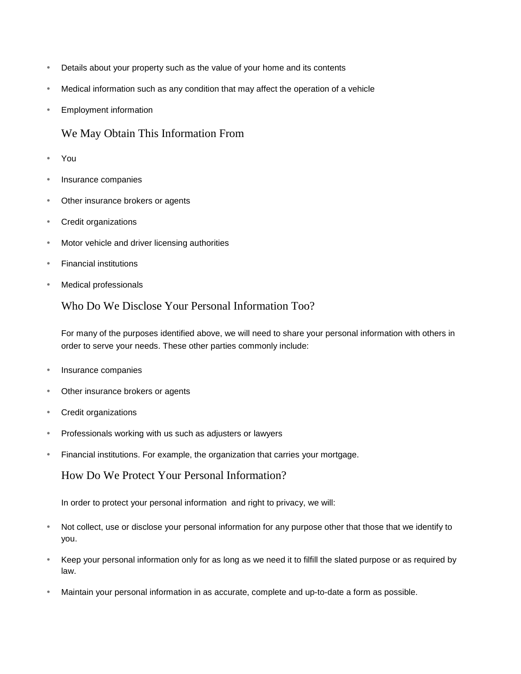- Details about your property such as the value of your home and its contents
- Medical information such as any condition that may affect the operation of a vehicle
- Employment information

### We May Obtain This Information From

- You
- Insurance companies
- Other insurance brokers or agents
- Credit organizations
- Motor vehicle and driver licensing authorities
- Financial institutions
- Medical professionals

#### Who Do We Disclose Your Personal Information Too?

For many of the purposes identified above, we will need to share your personal information with others in order to serve your needs. These other parties commonly include:

- Insurance companies
- Other insurance brokers or agents
- Credit organizations
- Professionals working with us such as adjusters or lawyers
- Financial institutions. For example, the organization that carries your mortgage.

#### How Do We Protect Your Personal Information?

In order to protect your personal information and right to privacy, we will:

- Not collect, use or disclose your personal information for any purpose other that those that we identify to you.
- Keep your personal information only for as long as we need it to filfill the slated purpose or as required by law.
- Maintain your personal information in as accurate, complete and up-to-date a form as possible.